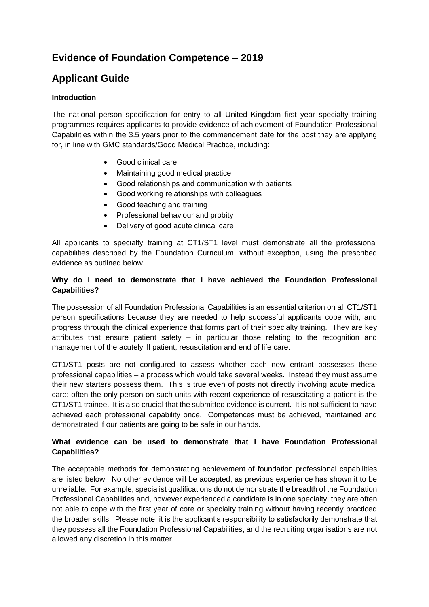# **Evidence of Foundation Competence – 2019**

# **Applicant Guide**

# **Introduction**

The national person specification for entry to all United Kingdom first year specialty training programmes requires applicants to provide evidence of achievement of Foundation Professional Capabilities within the 3.5 years prior to the commencement date for the post they are applying for, in line with GMC standards/Good Medical Practice, including:

- Good clinical care
- Maintaining good medical practice
- Good relationships and communication with patients
- Good working relationships with colleagues
- Good teaching and training
- Professional behaviour and probity
- Delivery of good acute clinical care

All applicants to specialty training at CT1/ST1 level must demonstrate all the professional capabilities described by the Foundation Curriculum, without exception, using the prescribed evidence as outlined below.

# **Why do I need to demonstrate that I have achieved the Foundation Professional Capabilities?**

The possession of all Foundation Professional Capabilities is an essential criterion on all CT1/ST1 person specifications because they are needed to help successful applicants cope with, and progress through the clinical experience that forms part of their specialty training. They are key attributes that ensure patient safety  $-$  in particular those relating to the recognition and management of the acutely ill patient, resuscitation and end of life care.

CT1/ST1 posts are not configured to assess whether each new entrant possesses these professional capabilities – a process which would take several weeks. Instead they must assume their new starters possess them. This is true even of posts not directly involving acute medical care: often the only person on such units with recent experience of resuscitating a patient is the CT1/ST1 trainee. It is also crucial that the submitted evidence is current. It is not sufficient to have achieved each professional capability once. Competences must be achieved, maintained and demonstrated if our patients are going to be safe in our hands.

# **What evidence can be used to demonstrate that I have Foundation Professional Capabilities?**

The acceptable methods for demonstrating achievement of foundation professional capabilities are listed below. No other evidence will be accepted, as previous experience has shown it to be unreliable. For example, specialist qualifications do not demonstrate the breadth of the Foundation Professional Capabilities and, however experienced a candidate is in one specialty, they are often not able to cope with the first year of core or specialty training without having recently practiced the broader skills. Please note, it is the applicant's responsibility to satisfactorily demonstrate that they possess all the Foundation Professional Capabilities, and the recruiting organisations are not allowed any discretion in this matter.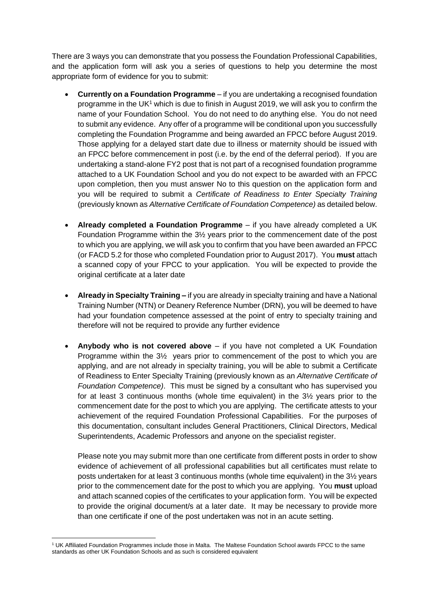There are 3 ways you can demonstrate that you possess the Foundation Professional Capabilities, and the application form will ask you a series of questions to help you determine the most appropriate form of evidence for you to submit:

- **Currently on a Foundation Programme** if you are undertaking a recognised foundation programme in the UK<sup>1</sup> which is due to finish in August 2019, we will ask you to confirm the name of your Foundation School. You do not need to do anything else. You do not need to submit any evidence. Any offer of a programme will be conditional upon you successfully completing the Foundation Programme and being awarded an FPCC before August 2019. Those applying for a delayed start date due to illness or maternity should be issued with an FPCC before commencement in post (i.e. by the end of the deferral period). If you are undertaking a stand-alone FY2 post that is not part of a recognised foundation programme attached to a UK Foundation School and you do not expect to be awarded with an FPCC upon completion, then you must answer No to this question on the application form and you will be required to submit a *Certificate of Readiness to Enter Specialty Training* (previously known as *Alternative Certificate of Foundation Competence)* as detailed below.
- **Already completed a Foundation Programme** if you have already completed a UK Foundation Programme within the 3½ years prior to the commencement date of the post to which you are applying, we will ask you to confirm that you have been awarded an FPCC (or FACD 5.2 for those who completed Foundation prior to August 2017). You **must** attach a scanned copy of your FPCC to your application. You will be expected to provide the original certificate at a later date
- **Already in Specialty Training –** if you are already in specialty training and have a National Training Number (NTN) or Deanery Reference Number (DRN), you will be deemed to have had your foundation competence assessed at the point of entry to specialty training and therefore will not be required to provide any further evidence
- **Anybody who is not covered above**  if you have not completed a UK Foundation Programme within the 3½ years prior to commencement of the post to which you are applying, and are not already in specialty training, you will be able to submit a Certificate of Readiness to Enter Specialty Training (previously known as an *Alternative Certificate of Foundation Competence)*. This must be signed by a consultant who has supervised you for at least 3 continuous months (whole time equivalent) in the 3½ years prior to the commencement date for the post to which you are applying. The certificate attests to your achievement of the required Foundation Professional Capabilities. For the purposes of this documentation, consultant includes General Practitioners, Clinical Directors, Medical Superintendents, Academic Professors and anyone on the specialist register.

Please note you may submit more than one certificate from different posts in order to show evidence of achievement of all professional capabilities but all certificates must relate to posts undertaken for at least 3 continuous months (whole time equivalent) in the 3½ years prior to the commencement date for the post to which you are applying. You **must** upload and attach scanned copies of the certificates to your application form. You will be expected to provide the original document/s at a later date. It may be necessary to provide more than one certificate if one of the post undertaken was not in an acute setting.

**.** 

<sup>1</sup> UK Affiliated Foundation Programmes include those in Malta. The Maltese Foundation School awards FPCC to the same standards as other UK Foundation Schools and as such is considered equivalent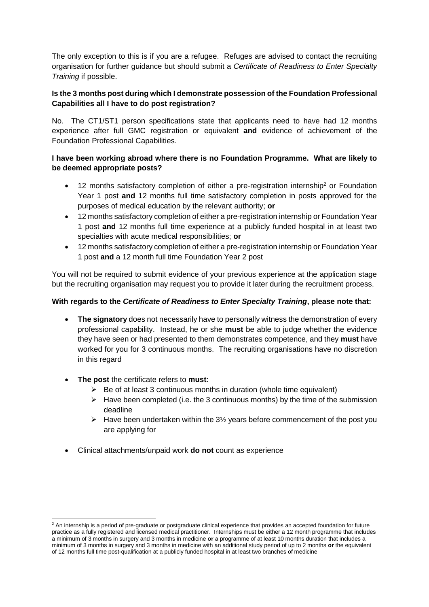The only exception to this is if you are a refugee. Refuges are advised to contact the recruiting organisation for further guidance but should submit a *Certificate of Readiness to Enter Specialty Training* if possible.

# **Is the 3 months post during which I demonstrate possession of the Foundation Professional Capabilities all I have to do post registration?**

No. The CT1/ST1 person specifications state that applicants need to have had 12 months experience after full GMC registration or equivalent **and** evidence of achievement of the Foundation Professional Capabilities.

# **I have been working abroad where there is no Foundation Programme. What are likely to be deemed appropriate posts?**

- 12 months satisfactory completion of either a pre-registration internship<sup>2</sup> or Foundation Year 1 post **and** 12 months full time satisfactory completion in posts approved for the purposes of medical education by the relevant authority; **or**
- 12 months satisfactory completion of either a pre-registration internship or Foundation Year 1 post **and** 12 months full time experience at a publicly funded hospital in at least two specialties with acute medical responsibilities; **or**
- 12 months satisfactory completion of either a pre-registration internship or Foundation Year 1 post **and** a 12 month full time Foundation Year 2 post

You will not be required to submit evidence of your previous experience at the application stage but the recruiting organisation may request you to provide it later during the recruitment process.

## **With regards to the** *Certificate of Readiness to Enter Specialty Training***, please note that:**

- **The signatory** does not necessarily have to personally witness the demonstration of every professional capability. Instead, he or she **must** be able to judge whether the evidence they have seen or had presented to them demonstrates competence, and they **must** have worked for you for 3 continuous months. The recruiting organisations have no discretion in this regard
- **The post** the certificate refers to **must**:

**.** 

- $\triangleright$  Be of at least 3 continuous months in duration (whole time equivalent)
- $\triangleright$  Have been completed (i.e. the 3 continuous months) by the time of the submission deadline
- $\triangleright$  Have been undertaken within the 3<sup>1</sup>/<sub>2</sub> years before commencement of the post you are applying for
- Clinical attachments/unpaid work **do not** count as experience

<sup>&</sup>lt;sup>2</sup> An internship is a period of pre-graduate or postgraduate clinical experience that provides an accepted foundation for future practice as a fully registered and licensed medical practitioner. Internships must be either a 12 month programme that includes a minimum of 3 months in surgery and 3 months in medicine **or** a programme of at least 10 months duration that includes a minimum of 3 months in surgery and 3 months in medicine with an additional study period of up to 2 months **or** the equivalent of 12 months full time post-qualification at a publicly funded hospital in at least two branches of medicine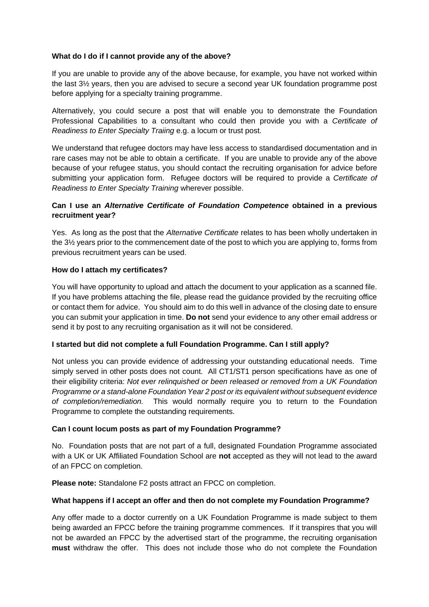## **What do I do if I cannot provide any of the above?**

If you are unable to provide any of the above because, for example, you have not worked within the last 3½ years, then you are advised to secure a second year UK foundation programme post before applying for a specialty training programme.

Alternatively, you could secure a post that will enable you to demonstrate the Foundation Professional Capabilities to a consultant who could then provide you with a *Certificate of Readiness to Enter Specialty Traiing* e.g. a locum or trust post.

We understand that refugee doctors may have less access to standardised documentation and in rare cases may not be able to obtain a certificate. If you are unable to provide any of the above because of your refugee status, you should contact the recruiting organisation for advice before submitting your application form. Refugee doctors will be required to provide a *Certificate of Readiness to Enter Specialty Training* wherever possible.

## **Can I use an** *Alternative Certificate of Foundation Competence* **obtained in a previous recruitment year?**

Yes. As long as the post that the *Alternative Certificate* relates to has been wholly undertaken in the 3½ years prior to the commencement date of the post to which you are applying to, forms from previous recruitment years can be used.

#### **How do I attach my certificates?**

You will have opportunity to upload and attach the document to your application as a scanned file. If you have problems attaching the file, please read the guidance provided by the recruiting office or contact them for advice. You should aim to do this well in advance of the closing date to ensure you can submit your application in time. **Do not** send your evidence to any other email address or send it by post to any recruiting organisation as it will not be considered.

#### **I started but did not complete a full Foundation Programme. Can I still apply?**

Not unless you can provide evidence of addressing your outstanding educational needs. Time simply served in other posts does not count. All CT1/ST1 person specifications have as one of their eligibility criteria: *Not ever relinquished or been released or removed from a UK Foundation Programme or a stand-alone Foundation Year 2 post or its equivalent without subsequent evidence of completion/remediation.* This would normally require you to return to the Foundation Programme to complete the outstanding requirements.

#### **Can I count locum posts as part of my Foundation Programme?**

No. Foundation posts that are not part of a full, designated Foundation Programme associated with a UK or UK Affiliated Foundation School are **not** accepted as they will not lead to the award of an FPCC on completion.

**Please note:** Standalone F2 posts attract an FPCC on completion.

#### **What happens if I accept an offer and then do not complete my Foundation Programme?**

Any offer made to a doctor currently on a UK Foundation Programme is made subject to them being awarded an FPCC before the training programme commences. If it transpires that you will not be awarded an FPCC by the advertised start of the programme, the recruiting organisation **must** withdraw the offer. This does not include those who do not complete the Foundation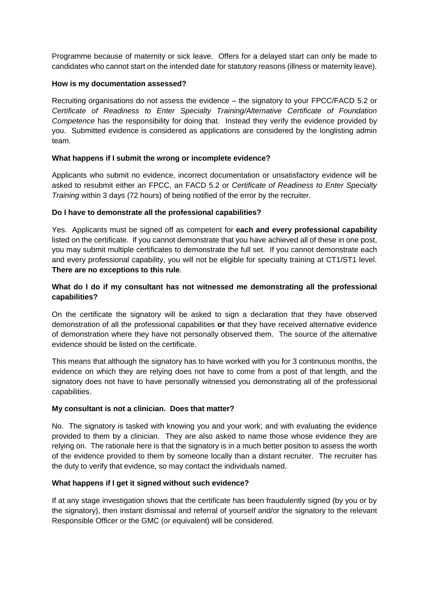Programme because of maternity or sick leave. Offers for a delayed start can only be made to candidates who cannot start on the intended date for statutory reasons (illness or maternity leave).

## **How is my documentation assessed?**

Recruiting organisations do not assess the evidence – the signatory to your FPCC/FACD 5.2 or *Certificate of Readiness to Enter Specialty Training/Alternative Certificate of Foundation Competence* has the responsibility for doing that. Instead they verify the evidence provided by you. Submitted evidence is considered as applications are considered by the longlisting admin team.

## **What happens if I submit the wrong or incomplete evidence?**

Applicants who submit no evidence, incorrect documentation or unsatisfactory evidence will be asked to resubmit either an FPCC, an FACD 5.2 or *Certificate of Readiness to Enter Specialty Training* within 3 days (72 hours) of being notified of the error by the recruiter.

## **Do I have to demonstrate all the professional capabilities?**

Yes. Applicants must be signed off as competent for **each and every professional capability** listed on the certificate. If you cannot demonstrate that you have achieved all of these in one post, you may submit multiple certificates to demonstrate the full set. If you cannot demonstrate each and every professional capability, you will not be eligible for specialty training at CT1/ST1 level. **There are no exceptions to this rule**.

## **What do I do if my consultant has not witnessed me demonstrating all the professional capabilities?**

On the certificate the signatory will be asked to sign a declaration that they have observed demonstration of all the professional capabilities **or** that they have received alternative evidence of demonstration where they have not personally observed them. The source of the alternative evidence should be listed on the certificate.

This means that although the signatory has to have worked with you for 3 continuous months, the evidence on which they are relying does not have to come from a post of that length, and the signatory does not have to have personally witnessed you demonstrating all of the professional capabilities.

#### **My consultant is not a clinician. Does that matter?**

No. The signatory is tasked with knowing you and your work; and with evaluating the evidence provided to them by a clinician. They are also asked to name those whose evidence they are relying on. The rationale here is that the signatory is in a much better position to assess the worth of the evidence provided to them by someone locally than a distant recruiter. The recruiter has the duty to verify that evidence, so may contact the individuals named.

## **What happens if I get it signed without such evidence?**

If at any stage investigation shows that the certificate has been fraudulently signed (by you or by the signatory), then instant dismissal and referral of yourself and/or the signatory to the relevant Responsible Officer or the GMC (or equivalent) will be considered.